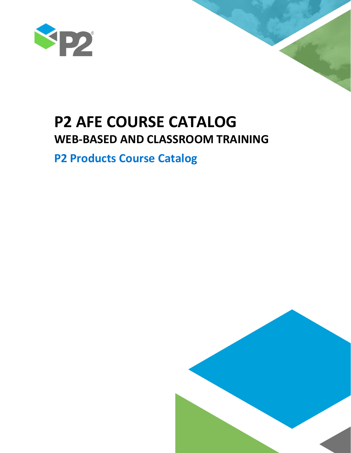

# **P2 AFE COURSE CATALOG WEB-BASED AND CLASSROOM TRAINING**

# **P2 Products Course Catalog**

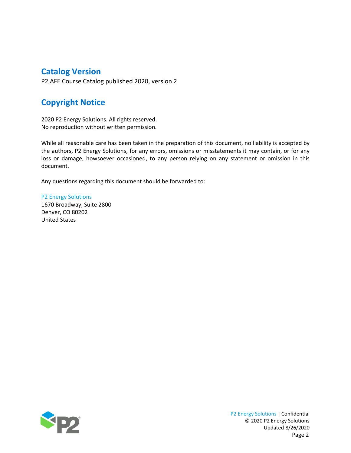## **Catalog Version**

P2 AFE Course Catalog published 2020, version 2

# **Copyright Notice**

2020 P2 Energy Solutions. All rights reserved. No reproduction without written permission.

While all reasonable care has been taken in the preparation of this document, no liability is accepted by the authors, P2 Energy Solutions, for any errors, omissions or misstatements it may contain, or for any loss or damage, howsoever occasioned, to any person relying on any statement or omission in this document.

Any questions regarding this document should be forwarded to:

P2 Energy Solutions 1670 Broadway, Suite 2800 Denver, CO 80202 United States

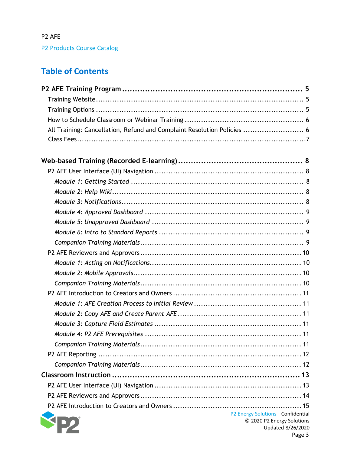# **Table of Contents**

| All Training: Cancellation, Refund and Complaint Resolution Policies  6 |
|-------------------------------------------------------------------------|
|                                                                         |
|                                                                         |
|                                                                         |
|                                                                         |
|                                                                         |
|                                                                         |
|                                                                         |
|                                                                         |
|                                                                         |
|                                                                         |
|                                                                         |
|                                                                         |
|                                                                         |
|                                                                         |
|                                                                         |
|                                                                         |
|                                                                         |
|                                                                         |
|                                                                         |
|                                                                         |
|                                                                         |
|                                                                         |
|                                                                         |
|                                                                         |
|                                                                         |
|                                                                         |
| P2 Energy Solutions   Confidential<br>© 2020 P2 Energy Solutions        |

Updated 8/26/2020 Page 3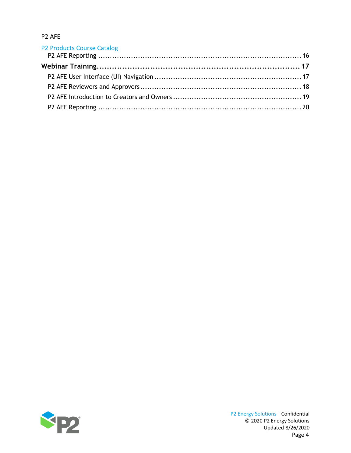| <b>P2 Products Course Catalog</b> |  |
|-----------------------------------|--|
|                                   |  |
|                                   |  |
|                                   |  |
|                                   |  |
|                                   |  |
|                                   |  |

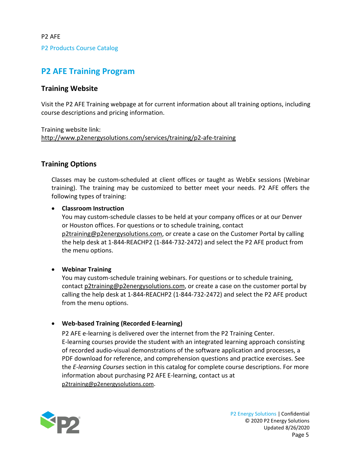# <span id="page-4-0"></span>**P2 AFE Training Program**

### <span id="page-4-1"></span>**Training Website**

Visit the P2 AFE Training webpage at for current information about all training options, including course descriptions and pricing information.

Training website link: <http://www.p2energysolutions.com/services/training/p2-afe-training>

### <span id="page-4-2"></span>**Training Options**

Classes may be custom-scheduled at client offices or taught as WebEx sessions (Webinar training). The training may be customized to better meet your needs. P2 AFE offers the following types of training:

### • **Classroom Instruction**

You may custom-schedule classes to be held at your company offices or at our Denver or Houston offices. For questions or to schedule training, contact [p2training@p2energysolutions.com,](mailto:p2training@p2energysolutions.com) or create a case on the Customer Portal by calling the help desk at 1-844-REACHP2 (1-844-732-2472) and select the P2 AFE product from the menu options.

### • **Webinar Training**

You may custom-schedule training webinars. For questions or to schedule training, contact [p2training@p2energysolutions.com,](mailto:p2training@p2energysolutions.com) or create a case on the customer portal by calling the help desk at 1-844-REACHP2 (1-844-732-2472) and select the P2 AFE product from the menu options.

### • **Web-based Training (Recorded E-learning)**

P2 AFE e-learning is delivered over the internet from the P2 Training Center. E-learning courses provide the student with an integrated learning approach consisting of recorded audio-visual demonstrations of the software application and processes, a PDF download for reference, and comprehension questions and practice exercises. See the *E-learning Courses* section in this catalog for complete course descriptions. For more information about purchasing P2 AFE E-learning, contact us at [p2training@p2energysolutions.com.](mailto:p2training@p2energysolutions.com)

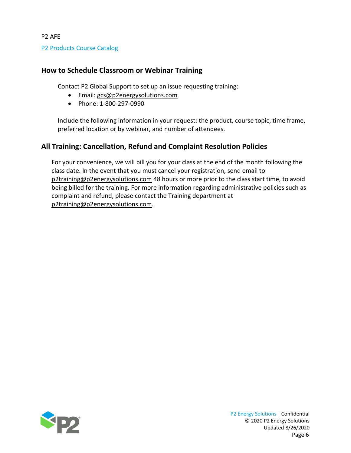P2 Products Course Catalog

### <span id="page-5-0"></span>**How to Schedule Classroom or Webinar Training**

Contact P2 Global Support to set up an issue requesting training:

- Email: [gcs@p2energysolutions.com](mailto:gcs@p2energysolutions.com)
- Phone: 1-800-297-0990

Include the following information in your request: the product, course topic, time frame, preferred location or by webinar, and number of attendees.

### <span id="page-5-1"></span>**All Training: Cancellation, Refund and Complaint Resolution Policies**

For your convenience, we will bill you for your class at the end of the month following the class date. In the event that you must cancel your registration, send email to [p2training@p2energysolutions.com](mailto:p2training@p2energysolutions.com) 48 hours or more prior to the class start time, to avoid being billed for the training. For more information regarding administrative policies such as complaint and refund, please contact the Training department at [p2training@p2energysolutions.com.](mailto:p2training@p2energysolutions.com)

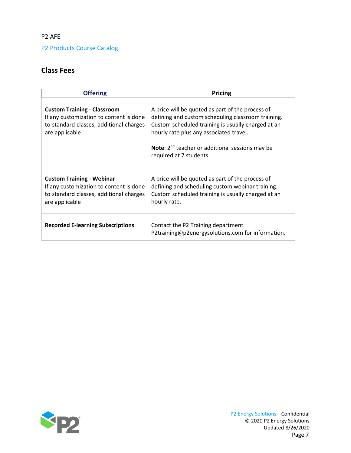P2 Products Course Catalog

### **Class Fees**

| <b>Offering</b>                                                                                                                            | <b>Pricing</b>                                                                                                                                                                                                                                                                                   |
|--------------------------------------------------------------------------------------------------------------------------------------------|--------------------------------------------------------------------------------------------------------------------------------------------------------------------------------------------------------------------------------------------------------------------------------------------------|
| <b>Custom Training - Classroom</b><br>If any customization to content is done<br>to standard classes, additional charges<br>are applicable | A price will be quoted as part of the process of<br>defining and custom scheduling classroom training.<br>Custom scheduled training is usually charged at an<br>hourly rate plus any associated travel.<br><b>Note:</b> $2^{nd}$ teacher or additional sessions may be<br>required at 7 students |
| <b>Custom Training - Webinar</b><br>If any customization to content is done<br>to standard classes, additional charges<br>are applicable   | A price will be quoted as part of the process of<br>defining and scheduling custom webinar training.<br>Custom scheduled training is usually charged at an<br>hourly rate.                                                                                                                       |
| <b>Recorded E-learning Subscriptions</b>                                                                                                   | Contact the P2 Training department<br>P2training@p2energysolutions.com for information.                                                                                                                                                                                                          |

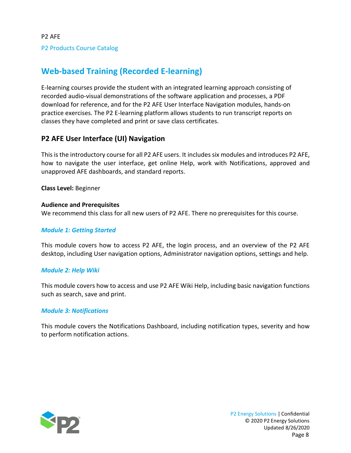# <span id="page-7-0"></span>**Web-based Training (Recorded E-learning)**

E-learning courses provide the student with an integrated learning approach consisting of recorded audio-visual demonstrations of the software application and processes, a PDF download for reference, and for the P2 AFE User Interface Navigation modules, hands-on practice exercises. The P2 E-learning platform allows students to run transcript reports on classes they have completed and print or save class certificates.

### <span id="page-7-1"></span>**P2 AFE User Interface (UI) Navigation**

This isthe introductory course for all P2 AFE users. It includes six modules and introduces P2 AFE, how to navigate the user interface, get online Help, work with Notifications, approved and unapproved AFE dashboards, and standard reports.

**Class Level:** Beginner

### **Audience and Prerequisites**

We recommend this class for all new users of P2 AFE. There no prerequisites for this course.

### <span id="page-7-2"></span>*Module 1: Getting Started*

This module covers how to access P2 AFE, the login process, and an overview of the P2 AFE desktop, including User navigation options, Administrator navigation options, settings and help.

### <span id="page-7-3"></span>*Module 2: Help Wiki*

This module covers how to access and use P2 AFE Wiki Help, including basic navigation functions such as search, save and print.

### <span id="page-7-4"></span>*Module 3: Notifications*

This module covers the Notifications Dashboard, including notification types, severity and how to perform notification actions.

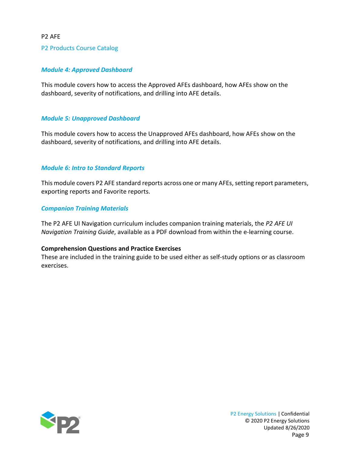#### P2 Products Course Catalog

### <span id="page-8-0"></span>*Module 4: Approved Dashboard*

This module covers how to access the Approved AFEs dashboard, how AFEs show on the dashboard, severity of notifications, and drilling into AFE details.

#### <span id="page-8-1"></span>*Module 5: Unapproved Dashboard*

This module covers how to access the Unapproved AFEs dashboard, how AFEs show on the dashboard, severity of notifications, and drilling into AFE details.

#### <span id="page-8-2"></span>*Module 6: Intro to Standard Reports*

This module covers P2 AFE standard reports across one or many AFEs, setting report parameters, exporting reports and Favorite reports.

#### <span id="page-8-3"></span>*Companion Training Materials*

The P2 AFE UI Navigation curriculum includes companion training materials, the *P2 AFE UI Navigation Training Guide*, available as a PDF download from within the e-learning course.

#### **Comprehension Questions and Practice Exercises**

These are included in the training guide to be used either as self-study options or as classroom exercises.

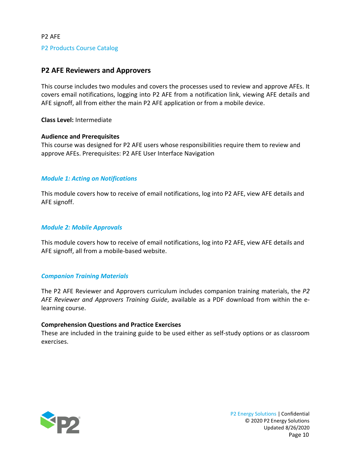### <span id="page-9-0"></span>**P2 AFE Reviewers and Approvers**

This course includes two modules and covers the processes used to review and approve AFEs. It covers email notifications, logging into P2 AFE from a notification link, viewing AFE details and AFE signoff, all from either the main P2 AFE application or from a mobile device.

**Class Level:** Intermediate

### **Audience and Prerequisites**

This course was designed for P2 AFE users whose responsibilities require them to review and approve AFEs. Prerequisites: P2 AFE User Interface Navigation

### <span id="page-9-1"></span>*Module 1: Acting on Notifications*

This module covers how to receive of email notifications, log into P2 AFE, view AFE details and AFE signoff.

### <span id="page-9-2"></span>*Module 2: Mobile Approvals*

This module covers how to receive of email notifications, log into P2 AFE, view AFE details and AFE signoff, all from a mobile-based website.

### <span id="page-9-3"></span>*Companion Training Materials*

The P2 AFE Reviewer and Approvers curriculum includes companion training materials, the *P2 AFE Reviewer and Approvers Training Guide*, available as a PDF download from within the elearning course.

### **Comprehension Questions and Practice Exercises**

These are included in the training guide to be used either as self-study options or as classroom exercises.



P2 Energy Solutions | Confidential © 2020 P2 Energy Solutions Updated 8/26/2020 Page 10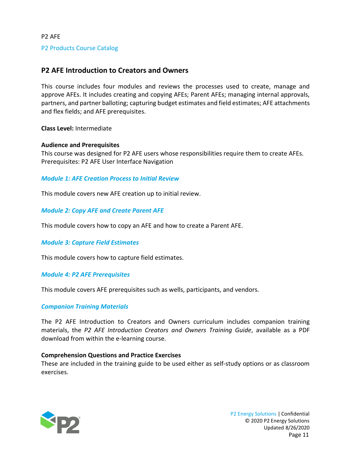### <span id="page-10-0"></span>**P2 AFE Introduction to Creators and Owners**

This course includes four modules and reviews the processes used to create, manage and approve AFEs. It includes creating and copying AFEs; Parent AFEs; managing internal approvals, partners, and partner balloting; capturing budget estimates and field estimates; AFE attachments and flex fields; and AFE prerequisites.

**Class Level:** Intermediate

### **Audience and Prerequisites**

This course was designed for P2 AFE users whose responsibilities require them to create AFEs. Prerequisites: P2 AFE User Interface Navigation

### <span id="page-10-1"></span>*Module 1: AFE Creation Process to Initial Review*

This module covers new AFE creation up to initial review.

<span id="page-10-2"></span>*Module 2: Copy AFE and Create Parent AFE*

This module covers how to copy an AFE and how to create a Parent AFE.

### <span id="page-10-3"></span>*Module 3: Capture Field Estimates*

This module covers how to capture field estimates.

### <span id="page-10-4"></span>*Module 4: P2 AFE Prerequisites*

This module covers AFE prerequisites such as wells, participants, and vendors.

### <span id="page-10-5"></span>*Companion Training Materials*

The P2 AFE Introduction to Creators and Owners curriculum includes companion training materials, the *P2 AFE Introduction Creators and Owners Training Guide*, available as a PDF download from within the e-learning course.

### **Comprehension Questions and Practice Exercises**

These are included in the training guide to be used either as self-study options or as classroom exercises.

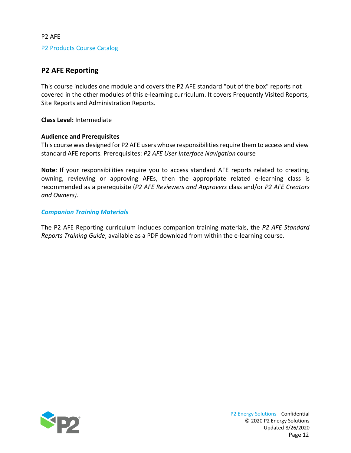### <span id="page-11-0"></span>**P2 AFE Reporting**

This course includes one module and covers the P2 AFE standard "out of the box" reports not covered in the other modules of this e-learning curriculum. It covers Frequently Visited Reports, Site Reports and Administration Reports.

**Class Level:** Intermediate

### **Audience and Prerequisites**

This course was designed for P2 AFE users whose responsibilities require them to access and view standard AFE reports. Prerequisites: *P2 AFE User Interface Navigation* course

**Note**: If your responsibilities require you to access standard AFE reports related to creating, owning, reviewing or approving AFEs, then the appropriate related e-learning class is recommended as a prerequisite (*P2 AFE Reviewers and Approvers* class and/or *P2 AFE Creators and Owners)*.

### <span id="page-11-1"></span>*Companion Training Materials*

The P2 AFE Reporting curriculum includes companion training materials, the *P2 AFE Standard Reports Training Guide*, available as a PDF download from within the e-learning course.



P2 Energy Solutions | Confidential © 2020 P2 Energy Solutions Updated 8/26/2020 Page 12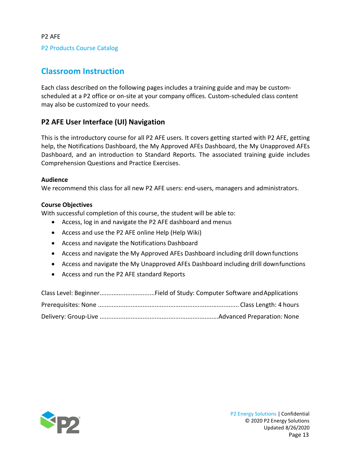P2 Products Course Catalog

# <span id="page-12-0"></span>**Classroom Instruction**

Each class described on the following pages includes a training guide and may be customscheduled at a P2 office or on-site at your company offices. Custom-scheduled class content may also be customized to your needs.

### <span id="page-12-1"></span>**P2 AFE User Interface (UI) Navigation**

This is the introductory course for all P2 AFE users. It covers getting started with P2 AFE, getting help, the Notifications Dashboard, the My Approved AFEs Dashboard, the My Unapproved AFEs Dashboard, and an introduction to Standard Reports. The associated training guide includes Comprehension Questions and Practice Exercises.

### **Audience**

We recommend this class for all new P2 AFE users: end-users, managers and administrators.

### **Course Objectives**

- Access, log in and navigate the P2 AFE dashboard and menus
- Access and use the P2 AFE online Help (Help Wiki)
- Access and navigate the Notifications Dashboard
- Access and navigate the My Approved AFEs Dashboard including drill downfunctions
- Access and navigate the My Unapproved AFEs Dashboard including drill downfunctions
- Access and run the P2 AFE standard Reports

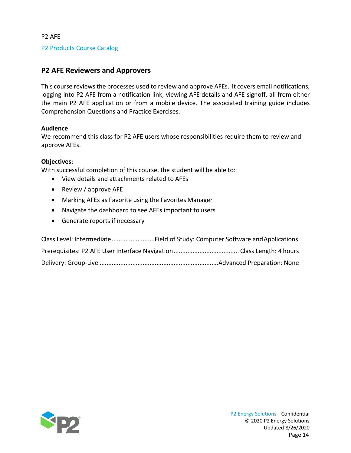### P2 Products Course Catalog

### <span id="page-13-0"></span>**P2 AFE Reviewers and Approvers**

This course reviewsthe processes used to review and approve AFEs. It covers email notifications, logging into P2 AFE from a notification link, viewing AFE details and AFE signoff, all from either the main P2 AFE application or from a mobile device. The associated training guide includes Comprehension Questions and Practice Exercises.

### **Audience**

We recommend this class for P2 AFE users whose responsibilities require them to review and approve AFEs.

#### **Objectives:**

- View details and attachments related to AFEs
- Review / approve AFE
- Marking AFEs as Favorite using the Favorites Manager
- Navigate the dashboard to see AFEs important to users
- Generate reports if necessary

| Class Level: IntermediateField of Study: Computer Software and Applications |  |
|-----------------------------------------------------------------------------|--|
|                                                                             |  |
|                                                                             |  |

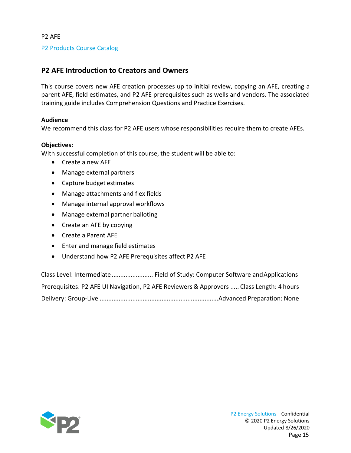### P2 Products Course Catalog

### <span id="page-14-0"></span>**P2 AFE Introduction to Creators and Owners**

This course covers new AFE creation processes up to initial review, copying an AFE, creating a parent AFE, field estimates, and P2 AFE prerequisites such as wells and vendors. The associated training guide includes Comprehension Questions and Practice Exercises.

### **Audience**

We recommend this class for P2 AFE users whose responsibilities require them to create AFEs.

### **Objectives:**

With successful completion of this course, the student will be able to:

- Create a new AFE
- Manage external partners
- Capture budget estimates
- Manage attachments and flex fields
- Manage internal approval workflows
- Manage external partner balloting
- Create an AFE by copying
- Create a Parent AFE
- Enter and manage field estimates
- Understand how P2 AFE Prerequisites affect P2 AFE

Class Level: Intermediate........................ Field of Study: Computer Software andApplications Prerequisites: P2 AFE UI Navigation, P2 AFE Reviewers & Approvers ..... Class Length: 4 hours Delivery: Group-Live .....................................................................Advanced Preparation: None

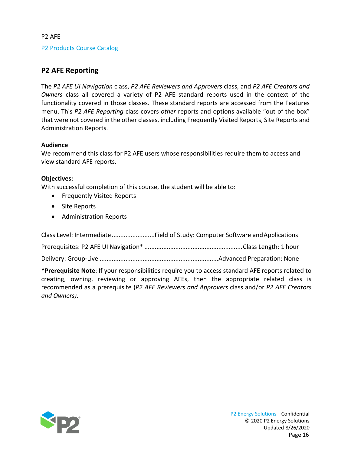#### P2 Products Course Catalog

### <span id="page-15-0"></span>**P2 AFE Reporting**

The *P2 AFE UI Navigation* class, *P2 AFE Reviewers and Approvers* class, and *P2 AFE Creators and Owners* class all covered a variety of P2 AFE standard reports used in the context of the functionality covered in those classes. These standard reports are accessed from the Features menu. This *P2 AFE Reporting* class covers *other* reports and options available "out of the box" that were not covered in the other classes, including Frequently Visited Reports, Site Reports and Administration Reports.

#### **Audience**

We recommend this class for P2 AFE users whose responsibilities require them to access and view standard AFE reports.

#### **Objectives:**

With successful completion of this course, the student will be able to:

- Frequently Visited Reports
- Site Reports
- Administration Reports

Class Level: Intermediate.........................Field of Study: Computer Software andApplications

Prerequisites: P2 AFE UI Navigation\* .........................................................Class Length: 1 hour

Delivery: Group-Live .....................................................................Advanced Preparation: None

**\*Prerequisite Note**: If your responsibilities require you to access standard AFE reports related to creating, owning, reviewing or approving AFEs, then the appropriate related class is recommended as a prerequisite (*P2 AFE Reviewers and Approvers* class and/or *P2 AFE Creators and Owners)*.

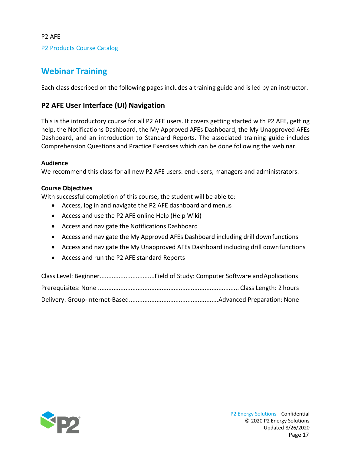# <span id="page-16-0"></span>**Webinar Training**

Each class described on the following pages includes a training guide and is led by an instructor.

### <span id="page-16-1"></span>**P2 AFE User Interface (UI) Navigation**

This is the introductory course for all P2 AFE users. It covers getting started with P2 AFE, getting help, the Notifications Dashboard, the My Approved AFEs Dashboard, the My Unapproved AFEs Dashboard, and an introduction to Standard Reports. The associated training guide includes Comprehension Questions and Practice Exercises which can be done following the webinar.

### **Audience**

We recommend this class for all new P2 AFE users: end-users, managers and administrators.

### **Course Objectives**

- Access, log in and navigate the P2 AFE dashboard and menus
- Access and use the P2 AFE online Help (Help Wiki)
- Access and navigate the Notifications Dashboard
- Access and navigate the My Approved AFEs Dashboard including drill downfunctions
- Access and navigate the My Unapproved AFEs Dashboard including drill downfunctions
- Access and run the P2 AFE standard Reports

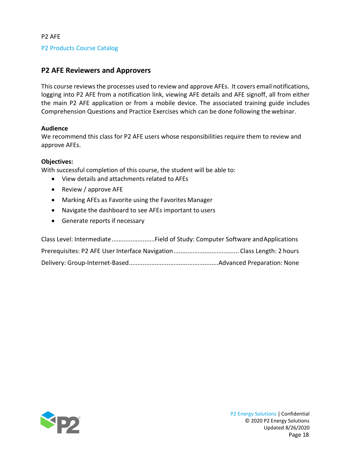### P2 Products Course Catalog

### <span id="page-17-0"></span>**P2 AFE Reviewers and Approvers**

This course reviewsthe processes used to review and approve AFEs. It covers email notifications, logging into P2 AFE from a notification link, viewing AFE details and AFE signoff, all from either the main P2 AFE application or from a mobile device. The associated training guide includes Comprehension Questions and Practice Exercises which can be done following thewebinar.

#### **Audience**

We recommend this class for P2 AFE users whose responsibilities require them to review and approve AFEs.

#### **Objectives:**

- View details and attachments related to AFEs
- Review / approve AFE
- Marking AFEs as Favorite using the Favorites Manager
- Navigate the dashboard to see AFEs important to users
- Generate reports if necessary

| Class Level: IntermediateField of Study: Computer Software and Applications |  |
|-----------------------------------------------------------------------------|--|
|                                                                             |  |
|                                                                             |  |

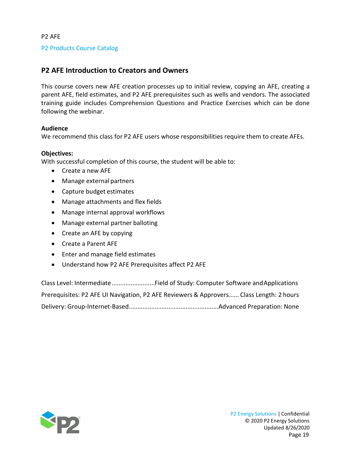P2 Products Course Catalog

### <span id="page-18-0"></span>**P2 AFE Introduction to Creators and Owners**

This course covers new AFE creation processes up to initial review, copying an AFE, creating a parent AFE, field estimates, and P2 AFE prerequisites such as wells and vendors. The associated training guide includes Comprehension Questions and Practice Exercises which can be done following the webinar.

### **Audience**

We recommend this class for P2 AFE users whose responsibilities require them to create AFEs.

### **Objectives:**

With successful completion of this course, the student will be able to:

- Create a new AFE
- Manage external partners
- Capture budget estimates
- Manage attachments and flex fields
- Manage internal approval workflows
- Manage external partner balloting
- Create an AFE by copying
- Create a Parent AFE
- Enter and manage field estimates
- Understand how P2 AFE Prerequisites affect P2 AFE

Class Level: Intermediate.........................Field of Study: Computer Software andApplications Prerequisites: P2 AFE UI Navigation, P2 AFE Reviewers & Approvers...... Class Length: 2 hours Delivery: Group-Internet-Based....................................................Advanced Preparation: None